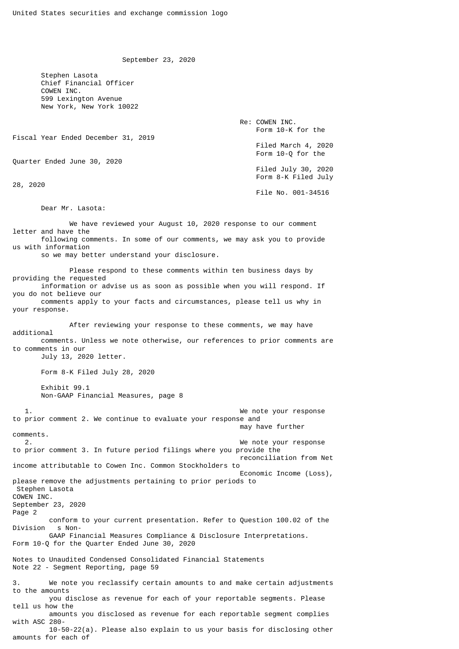September 23, 2020

 Stephen Lasota Chief Financial Officer COWEN INC. 599 Lexington Avenue New York, New York 10022

 Re: COWEN INC. Form 10-K for the Fiscal Year Ended December 31, 2019 Filed March 4, 2020 Form 10-Q for the Quarter Ended June 30, 2020 Filed July 30, 2020 Form 8-K Filed July 28, 2020 File No. 001-34516

Dear Mr. Lasota:

We have reviewed your August 10, 2020 response to our comment letter and have the following comments. In some of our comments, we may ask you to provide us with information so we may better understand your disclosure. Please respond to these comments within ten business days by providing the requested information or advise us as soon as possible when you will respond. If you do not believe our comments apply to your facts and circumstances, please tell us why in your response. After reviewing your response to these comments, we may have additional comments. Unless we note otherwise, our references to prior comments are to comments in our July 13, 2020 letter. Form 8-K Filed July 28, 2020 Exhibit 99.1 Non-GAAP Financial Measures, page 8 1. We note your response to prior comment 2. We continue to evaluate your response and may have further comments. 2. We note your response to prior comment 3. In future period filings where you provide the reconciliation from Net income attributable to Cowen Inc. Common Stockholders to Economic Income (Loss), please remove the adjustments pertaining to prior periods to Stephen Lasota COWEN INC. September 23, 2020 Page 2 conform to your current presentation. Refer to Question 100.02 of the Division s Non- GAAP Financial Measures Compliance & Disclosure Interpretations. Form 10-Q for the Quarter Ended June 30, 2020 Notes to Unaudited Condensed Consolidated Financial Statements Note 22 - Segment Reporting, page 59 3. We note you reclassify certain amounts to and make certain adjustments to the amounts you disclose as revenue for each of your reportable segments. Please tell us how the amounts you disclosed as revenue for each reportable segment complies with ASC 280- 10-50-22(a). Please also explain to us your basis for disclosing other amounts for each of